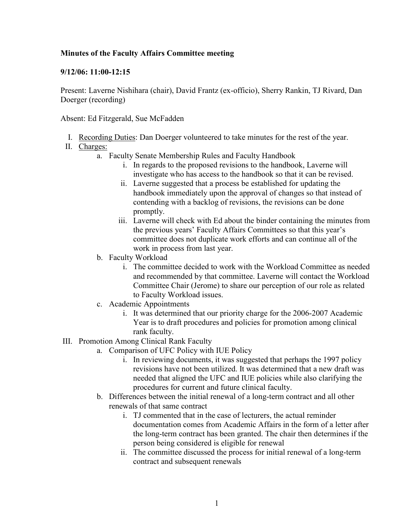## **Minutes of the Faculty Affairs Committee meeting**

## **9/12/06: 11:00-12:15**

Present: Laverne Nishihara (chair), David Frantz (ex-officio), Sherry Rankin, TJ Rivard, Dan Doerger (recording)

Absent: Ed Fitzgerald, Sue McFadden

I. Recording Duties: Dan Doerger volunteered to take minutes for the rest of the year.

## II. Charges:

- a. Faculty Senate Membership Rules and Faculty Handbook
	- i. In regards to the proposed revisions to the handbook, Laverne will investigate who has access to the handbook so that it can be revised.
	- ii. Laverne suggested that a process be established for updating the handbook immediately upon the approval of changes so that instead of contending with a backlog of revisions, the revisions can be done promptly.
	- iii. Laverne will check with Ed about the binder containing the minutes from the previous years' Faculty Affairs Committees so that this year's committee does not duplicate work efforts and can continue all of the work in process from last year.
- b. Faculty Workload
	- i. The committee decided to work with the Workload Committee as needed and recommended by that committee. Laverne will contact the Workload Committee Chair (Jerome) to share our perception of our role as related to Faculty Workload issues.
- c. Academic Appointments
	- i. It was determined that our priority charge for the 2006-2007 Academic Year is to draft procedures and policies for promotion among clinical rank faculty.
- III. Promotion Among Clinical Rank Faculty
	- a. Comparison of UFC Policy with IUE Policy
		- i. In reviewing documents, it was suggested that perhaps the 1997 policy revisions have not been utilized. It was determined that a new draft was needed that aligned the UFC and IUE policies while also clarifying the procedures for current and future clinical faculty.
	- b. Differences between the initial renewal of a long-term contract and all other renewals of that same contract
		- i. TJ commented that in the case of lecturers, the actual reminder documentation comes from Academic Affairs in the form of a letter after the long-term contract has been granted. The chair then determines if the person being considered is eligible for renewal
		- ii. The committee discussed the process for initial renewal of a long-term contract and subsequent renewals